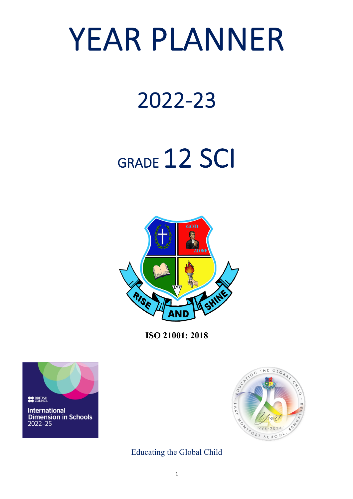# YEAR PLANNER

### 2022-23

## GRADE 12 SCI



**ISO 21001: 2018**





Educating the Global Child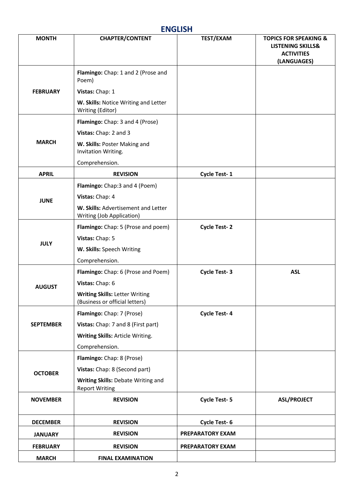#### **ENGLISH**

| <b>MONTH</b>     | <b>CHAPTER/CONTENT</b>                                                  | TEST/EXAM           | <b>TOPICS FOR SPEAKING &amp;</b><br><b>LISTENING SKILLS&amp;</b><br><b>ACTIVITIES</b><br>(LANGUAGES) |
|------------------|-------------------------------------------------------------------------|---------------------|------------------------------------------------------------------------------------------------------|
|                  | Flamingo: Chap: 1 and 2 (Prose and<br>Poem)                             |                     |                                                                                                      |
| <b>FEBRUARY</b>  | Vistas: Chap: 1                                                         |                     |                                                                                                      |
|                  | W. Skills: Notice Writing and Letter<br>Writing (Editor)                |                     |                                                                                                      |
|                  | Flamingo: Chap: 3 and 4 (Prose)                                         |                     |                                                                                                      |
|                  | Vistas: Chap: 2 and 3                                                   |                     |                                                                                                      |
| <b>MARCH</b>     | W. Skills: Poster Making and<br>Invitation Writing.                     |                     |                                                                                                      |
|                  | Comprehension.                                                          |                     |                                                                                                      |
| <b>APRIL</b>     | <b>REVISION</b>                                                         | Cycle Test-1        |                                                                                                      |
|                  | Flamingo: Chap:3 and 4 (Poem)                                           |                     |                                                                                                      |
| <b>JUNE</b>      | Vistas: Chap: 4                                                         |                     |                                                                                                      |
|                  | W. Skills: Advertisement and Letter<br><b>Writing (Job Application)</b> |                     |                                                                                                      |
|                  | Flamingo: Chap: 5 (Prose and poem)                                      | <b>Cycle Test-2</b> |                                                                                                      |
| <b>JULY</b>      | Vistas: Chap: 5                                                         |                     |                                                                                                      |
|                  | W. Skills: Speech Writing                                               |                     |                                                                                                      |
|                  | Comprehension.                                                          |                     |                                                                                                      |
|                  | Flamingo: Chap: 6 (Prose and Poem)                                      | <b>Cycle Test-3</b> | <b>ASL</b>                                                                                           |
| <b>AUGUST</b>    | Vistas: Chap: 6                                                         |                     |                                                                                                      |
|                  | <b>Writing Skills: Letter Writing</b><br>(Business or official letters) |                     |                                                                                                      |
|                  | Flamingo: Chap: 7 (Prose)                                               | <b>Cycle Test-4</b> |                                                                                                      |
| <b>SEPTEMBER</b> | Vistas: Chap: 7 and 8 (First part)                                      |                     |                                                                                                      |
|                  | Writing Skills: Article Writing.                                        |                     |                                                                                                      |
|                  | Comprehension.                                                          |                     |                                                                                                      |
|                  | Flamingo: Chap: 8 (Prose)                                               |                     |                                                                                                      |
| <b>OCTOBER</b>   | Vistas: Chap: 8 (Second part)                                           |                     |                                                                                                      |
|                  | Writing Skills: Debate Writing and<br><b>Report Writing</b>             |                     |                                                                                                      |
| <b>NOVEMBER</b>  | <b>REVISION</b>                                                         | <b>Cycle Test-5</b> | <b>ASL/PROJECT</b>                                                                                   |
| <b>DECEMBER</b>  | <b>REVISION</b>                                                         | <b>Cycle Test-6</b> |                                                                                                      |
| <b>JANUARY</b>   | <b>REVISION</b>                                                         | PREPARATORY EXAM    |                                                                                                      |
| <b>FEBRUARY</b>  | <b>REVISION</b>                                                         | PREPARATORY EXAM    |                                                                                                      |
| <b>MARCH</b>     | <b>FINAL EXAMINATION</b>                                                |                     |                                                                                                      |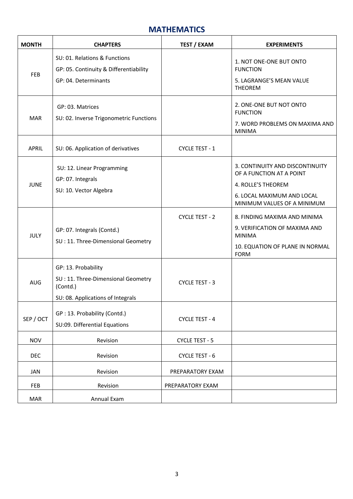#### **MATHEMATICS**

| <b>MONTH</b> | <b>CHAPTERS</b>                                                                                            | <b>TEST / EXAM</b>    | <b>EXPERIMENTS</b>                                                                                                                             |
|--------------|------------------------------------------------------------------------------------------------------------|-----------------------|------------------------------------------------------------------------------------------------------------------------------------------------|
| <b>FEB</b>   | SU: 01. Relations & Functions<br>GP: 05. Continuity & Differentiability<br>GP: 04. Determinants            |                       | 1. NOT ONE-ONE BUT ONTO<br><b>FUNCTION</b><br>5. LAGRANGE'S MEAN VALUE<br><b>THEOREM</b>                                                       |
| <b>MAR</b>   | GP: 03. Matrices<br>SU: 02. Inverse Trigonometric Functions                                                |                       | 2. ONE-ONE BUT NOT ONTO<br><b>FUNCTION</b><br>7. WORD PROBLEMS ON MAXIMA AND<br><b>MINIMA</b>                                                  |
| <b>APRIL</b> | SU: 06. Application of derivatives                                                                         | CYCLE TEST - 1        |                                                                                                                                                |
| <b>JUNE</b>  | SU: 12. Linear Programming<br>GP: 07. Integrals<br>SU: 10. Vector Algebra                                  |                       | 3. CONTINUITY AND DISCONTINUITY<br>OF A FUNCTION AT A POINT<br>4. ROLLE'S THEOREM<br>6. LOCAL MAXIMUM AND LOCAL<br>MINIMUM VALUES OF A MINIMUM |
| <b>JULY</b>  | GP: 07. Integrals (Contd.)<br>SU: 11. Three-Dimensional Geometry                                           | CYCLE TEST - 2        | 8. FINDING MAXIMA AND MINIMA<br>9. VERIFICATION OF MAXIMA AND<br><b>MINIMA</b><br>10. EQUATION OF PLANE IN NORMAL<br><b>FORM</b>               |
| <b>AUG</b>   | GP: 13. Probability<br>SU: 11. Three-Dimensional Geometry<br>(Contd.)<br>SU: 08. Applications of Integrals | <b>CYCLE TEST - 3</b> |                                                                                                                                                |
| SEP / OCT    | GP: 13. Probability (Contd.)<br>SU:09. Differential Equations                                              | <b>CYCLE TEST - 4</b> |                                                                                                                                                |
| <b>NOV</b>   | Revision                                                                                                   | CYCLE TEST - 5        |                                                                                                                                                |
| <b>DEC</b>   | Revision                                                                                                   | CYCLE TEST - 6        |                                                                                                                                                |
| JAN          | Revision                                                                                                   | PREPARATORY EXAM      |                                                                                                                                                |
| FEB          | Revision                                                                                                   | PREPARATORY EXAM      |                                                                                                                                                |
| <b>MAR</b>   | Annual Exam                                                                                                |                       |                                                                                                                                                |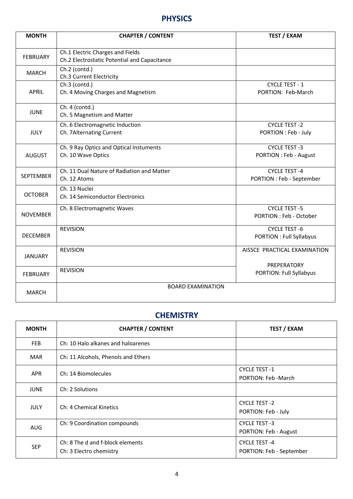#### **PHYSICS**

| <b>MONTH</b>     | <b>CHAPTER / CONTENT</b>                                                         | <b>TEST / EXAM</b>                                     |
|------------------|----------------------------------------------------------------------------------|--------------------------------------------------------|
| <b>FEBRUARY</b>  | Ch.1 Electric Charges and Fields<br>Ch.2 Electrostatic Potential and Capacitance |                                                        |
| <b>MARCH</b>     | Ch.2 (contd.)<br>Ch.3 Current Electricity                                        |                                                        |
| <b>APRIL</b>     | Ch.3 (contd.)<br>Ch. 4 Moving Charges and Magnetism                              | <b>CYCLE TEST - 1</b><br>PORTION: Feb-March            |
| <b>JUNE</b>      | Ch. 4 (contd.)<br>Ch. 5 Magnetism and Matter                                     |                                                        |
| <b>JULY</b>      | Ch. 6 Electromagnetic Induction<br>Ch. 7Alternating Current                      | <b>CYCLE TEST-2</b><br>PORTION : Feb - July            |
| <b>AUGUST</b>    | Ch. 9 Ray Optics and Optical Instuments<br>Ch. 10 Wave Optics                    | <b>CYCLE TEST-3</b><br>PORTION : Feb - August          |
| <b>SEPTEMBER</b> | Ch. 11 Dual Nature of Radiation and Matter<br>Ch. 12 Atoms                       | <b>CYCLE TEST-4</b><br>PORTION : Feb - September       |
| <b>OCTOBER</b>   | Ch. 13 Nuclei<br>Ch. 14 Semiconductor Electronics                                |                                                        |
| <b>NOVEMBER</b>  | Ch. 8 Electromagnetic Waves                                                      | <b>CYCLE TEST -5</b><br><b>PORTION: Feb - October</b>  |
| <b>DECEMBER</b>  | <b>REVISION</b>                                                                  | <b>CYCLE TEST -6</b><br><b>PORTION: Full Syllabyus</b> |
| <b>JANUARY</b>   | <b>REVISION</b>                                                                  | AISSCE PRACTICAL EXAMINATION                           |
| <b>FEBRUARY</b>  | <b>REVISION</b>                                                                  | PREPERATORY<br><b>PORTION: Full Syllabyus</b>          |
| <b>MARCH</b>     | <b>BOARD EXAMINATION</b>                                                         |                                                        |

#### **CHEMISTRY**

| <b>MONTH</b> | <b>CHAPTER / CONTENT</b>                                    | <b>TEST / EXAM</b>                              |
|--------------|-------------------------------------------------------------|-------------------------------------------------|
| <b>FEB</b>   | Ch: 10 Halo alkanes and haloarenes                          |                                                 |
| <b>MAR</b>   | Ch: 11 Alcohols, Phenols and Ethers                         |                                                 |
| <b>APR</b>   | Ch: 14 Biomolecules                                         | <b>CYCLE TEST-1</b><br>PORTION: Feb - March     |
| <b>JUNE</b>  | Ch: 2 Solutions                                             |                                                 |
| <b>JULY</b>  | Ch: 4 Chemical Kinetics                                     | <b>CYCLE TEST -2</b><br>PORTION: Feb - July     |
| <b>AUG</b>   | Ch: 9 Coordination compounds                                | <b>CYCLE TEST -3</b><br>PORTION: Feb - August   |
| <b>SEP</b>   | Ch: 8 The d and f-block elements<br>Ch: 3 Electro chemistry | <b>CYCLE TEST-4</b><br>PORTION: Feb - September |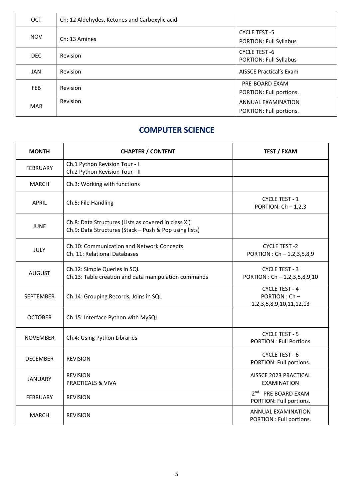| <b>OCT</b> | Ch: 12 Aldehydes, Ketones and Carboxylic acid |                                                       |
|------------|-----------------------------------------------|-------------------------------------------------------|
| <b>NOV</b> | Ch: 13 Amines                                 | <b>CYCLE TEST -5</b><br><b>PORTION: Full Syllabus</b> |
| <b>DEC</b> | Revision                                      | CYCLE TEST -6<br><b>PORTION: Full Syllabus</b>        |
| JAN        | Revision                                      | <b>AISSCE Practical's Exam</b>                        |
| <b>FEB</b> | Revision                                      | PRE-BOARD EXAM<br>PORTION: Full portions.             |
| <b>MAR</b> | Revision                                      | <b>ANNUAL EXAMINATION</b><br>PORTION: Full portions.  |

#### **COMPUTER SCIENCE**

| <b>MONTH</b>     | <b>CHAPTER / CONTENT</b>                                                                                       | <b>TEST / EXAM</b>                                                        |
|------------------|----------------------------------------------------------------------------------------------------------------|---------------------------------------------------------------------------|
| <b>FEBRUARY</b>  | Ch.1 Python Revision Tour - I<br>Ch.2 Python Revision Tour - II                                                |                                                                           |
| <b>MARCH</b>     | Ch.3: Working with functions                                                                                   |                                                                           |
| <b>APRIL</b>     | Ch.5: File Handling                                                                                            | CYCLE TEST - 1<br>PORTION: $Ch - 1,2,3$                                   |
| <b>JUNE</b>      | Ch.8: Data Structures (Lists as covered in class XI)<br>Ch.9: Data Structures (Stack - Push & Pop using lists) |                                                                           |
| JULY             | Ch.10: Communication and Network Concepts<br>Ch. 11: Relational Databases                                      | <b>CYCLE TEST -2</b><br>PORTION: Ch - 1,2,3,5,8,9                         |
| <b>AUGUST</b>    | Ch.12: Simple Queries in SQL<br>Ch.13: Table creation and data manipulation commands                           | <b>CYCLE TEST - 3</b><br>PORTION: Ch - 1,2,3,5,8,9,10                     |
| <b>SEPTEMBER</b> | Ch.14: Grouping Records, Joins in SQL                                                                          | <b>CYCLE TEST - 4</b><br>PORTION: Ch-<br>1, 2, 3, 5, 8, 9, 10, 11, 12, 13 |
| <b>OCTOBER</b>   | Ch.15: Interface Python with MySQL                                                                             |                                                                           |
| <b>NOVEMBER</b>  | Ch.4: Using Python Libraries                                                                                   | <b>CYCLE TEST - 5</b><br><b>PORTION: Full Portions</b>                    |
| <b>DECEMBER</b>  | <b>REVISION</b>                                                                                                | <b>CYCLE TEST - 6</b><br>PORTION: Full portions.                          |
| <b>JANUARY</b>   | <b>REVISION</b><br>PRACTICALS & VIVA                                                                           | AISSCE 2023 PRACTICAL<br><b>EXAMINATION</b>                               |
| <b>FEBRUARY</b>  | <b>REVISION</b>                                                                                                | 2 <sup>nd</sup> PRE BOARD EXAM<br>PORTION: Full portions.                 |
| <b>MARCH</b>     | <b>REVISION</b>                                                                                                | <b>ANNUAL EXAMINATION</b><br>PORTION : Full portions.                     |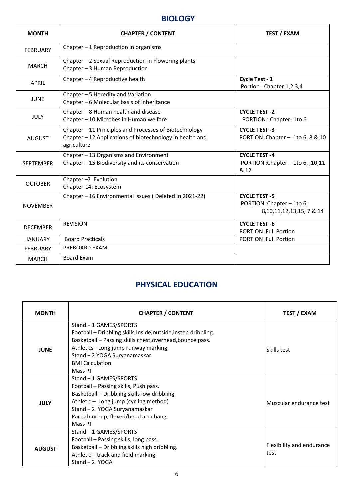#### **BIOLOGY**

| <b>MONTH</b>     | <b>CHAPTER / CONTENT</b>                                                                                                          | <b>TEST / EXAM</b>                                                                  |
|------------------|-----------------------------------------------------------------------------------------------------------------------------------|-------------------------------------------------------------------------------------|
| <b>FEBRUARY</b>  | Chapter $-1$ Reproduction in organisms                                                                                            |                                                                                     |
| <b>MARCH</b>     | Chapter - 2 Sexual Reproduction in Flowering plants<br>Chapter - 3 Human Reproduction                                             |                                                                                     |
| <b>APRIL</b>     | Chapter - 4 Reproductive health                                                                                                   | Cycle Test - 1<br>Portion: Chapter 1,2,3,4                                          |
| <b>JUNE</b>      | Chapter - 5 Heredity and Variation<br>Chapter - 6 Molecular basis of inheritance                                                  |                                                                                     |
| <b>JULY</b>      | Chapter - 8 Human health and disease<br>Chapter - 10 Microbes in Human welfare                                                    | <b>CYCLE TEST -2</b><br>PORTION : Chapter- 1to 6                                    |
| <b>AUGUST</b>    | Chapter - 11 Principles and Processes of Biotechnology<br>Chapter - 12 Applications of biotechnology in health and<br>agriculture | <b>CYCLE TEST -3</b><br>PORTION : Chapter - 1to 6, 8 & 10                           |
| <b>SFPTFMBFR</b> | Chapter - 13 Organisms and Environment<br>Chapter - 15 Biodiversity and its conservation                                          | <b>CYCLE TEST-4</b><br>PORTION : Chapter - 1to 6, , 10, 11<br>& 12                  |
| <b>OCTOBER</b>   | Chapter-7 Evolution<br>Chapter-14: Ecosystem                                                                                      |                                                                                     |
| <b>NOVEMBER</b>  | Chapter - 16 Environmental issues (Deleted in 2021-22)                                                                            | <b>CYCLE TEST -5</b><br>PORTION : Chapter - 1to 6,<br>8, 10, 11, 12, 13, 15, 7 & 14 |
| <b>DECEMBER</b>  | <b>REVISION</b>                                                                                                                   | <b>CYCLE TEST -6</b><br><b>PORTION : Full Portion</b>                               |
| <b>JANUARY</b>   | <b>Board Practicals</b>                                                                                                           | <b>PORTION : Full Portion</b>                                                       |
| <b>FEBRUARY</b>  | PREBOARD EXAM                                                                                                                     |                                                                                     |
| <b>MARCH</b>     | Board Exam                                                                                                                        |                                                                                     |

#### **PHYSICAL EDUCATION**

| <b>MONTH</b>  | <b>CHAPTER / CONTENT</b>                                                                                                                                                                                                                                          | <b>TEST / EXAM</b>                |
|---------------|-------------------------------------------------------------------------------------------------------------------------------------------------------------------------------------------------------------------------------------------------------------------|-----------------------------------|
| <b>JUNE</b>   | Stand - 1 GAMES/SPORTS<br>Football - Dribbling skills.Inside,outside,instep dribbling.<br>Basketball - Passing skills chest, overhead, bounce pass.<br>Athletics - Long jump runway marking.<br>Stand - 2 YOGA Suryanamaskar<br><b>BMI Calculation</b><br>Mass PT | Skills test                       |
| <b>JULY</b>   | Stand - 1 GAMES/SPORTS<br>Football - Passing skills, Push pass.<br>Basketball - Dribbling skills low dribbling.<br>Athletic - Long jump (cycling method)<br>Stand - 2 YOGA Suryanamaskar<br>Partial curl-up, flexed/bend arm hang.<br>Mass PT                     | Muscular endurance test           |
| <b>AUGUST</b> | Stand - 1 GAMES/SPORTS<br>Football - Passing skills, long pass.<br>Basketball - Dribbling skills high dribbling.<br>Athletic - track and field marking.<br>Stand $-2$ YOGA                                                                                        | Flexibility and endurance<br>test |